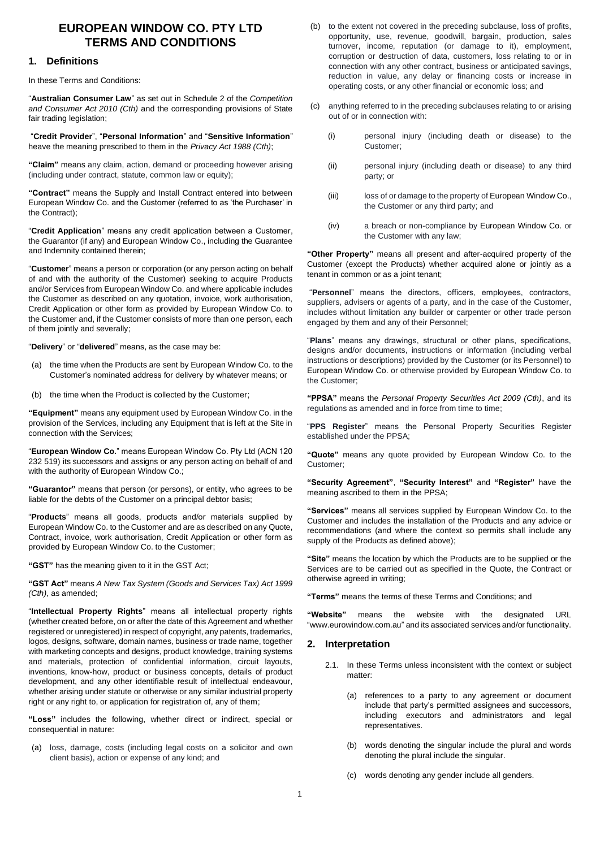# **EUROPEAN WINDOW CO. PTY LTD TERMS AND CONDITIONS**

# **1. Definitions**

In these Terms and Conditions:

"**Australian Consumer Law**" as set out in Schedule 2 of the *Competition and Consumer Act 2010 (Cth)* and the corresponding provisions of State fair trading legislation;

"**Credit Provider**", "**Personal Information**" and "**Sensitive Information**" heave the meaning prescribed to them in the *Privacy Act 1988 (Cth)*;

**"Claim"** means any claim, action, demand or proceeding however arising (including under contract, statute, common law or equity);

**"Contract"** means the Supply and Install Contract entered into between European Window Co. and the Customer (referred to as 'the Purchaser' in the Contract);

"**Credit Application**" means any credit application between a Customer, the Guarantor (if any) and European Window Co., including the Guarantee and Indemnity contained therein;

"**Customer**" means a person or corporation (or any person acting on behalf of and with the authority of the Customer) seeking to acquire Products and/or Services from European Window Co. and where applicable includes the Customer as described on any quotation, invoice, work authorisation, Credit Application or other form as provided by European Window Co. to the Customer and, if the Customer consists of more than one person, each of them jointly and severally;

"**Delivery**" or "**delivered**" means, as the case may be:

- (a) the time when the Products are sent by European Window Co. to the Customer's nominated address for delivery by whatever means; or
- (b) the time when the Product is collected by the Customer;

**"Equipment"** means any equipment used by European Window Co. in the provision of the Services, including any Equipment that is left at the Site in connection with the Services;

"**European Window Co.**" means European Window Co. Pty Ltd (ACN 120 232 519) its successors and assigns or any person acting on behalf of and with the authority of European Window Co.;

**"Guarantor"** means that person (or persons), or entity, who agrees to be liable for the debts of the Customer on a principal debtor basis;

"**Products**" means all goods, products and/or materials supplied by European Window Co. to the Customer and are as described on any Quote, Contract, invoice, work authorisation, Credit Application or other form as provided by European Window Co. to the Customer;

**"GST"** has the meaning given to it in the GST Act;

**"GST Act"** means *A New Tax System (Goods and Services Tax) Act 1999 (Cth)*, as amended;

"**Intellectual Property Rights**" means all intellectual property rights (whether created before, on or after the date of this Agreement and whether registered or unregistered) in respect of copyright, any patents, trademarks, logos, designs, software, domain names, business or trade name, together with marketing concepts and designs, product knowledge, training systems and materials, protection of confidential information, circuit layouts, inventions, know-how, product or business concepts, details of product development, and any other identifiable result of intellectual endeavour, whether arising under statute or otherwise or any similar industrial property right or any right to, or application for registration of, any of them;

**"Loss"** includes the following, whether direct or indirect, special or consequential in nature:

(a) loss, damage, costs (including legal costs on a solicitor and own client basis), action or expense of any kind; and

- (b) to the extent not covered in the preceding subclause, loss of profits, opportunity, use, revenue, goodwill, bargain, production, sales turnover, income, reputation (or damage to it), employment, corruption or destruction of data, customers, loss relating to or in connection with any other contract, business or anticipated savings, reduction in value, any delay or financing costs or increase in operating costs, or any other financial or economic loss; and
- (c) anything referred to in the preceding subclauses relating to or arising out of or in connection with:
	- (i) personal injury (including death or disease) to the Customer;
	- (ii) personal injury (including death or disease) to any third party; or
	- (iii) loss of or damage to the property of European Window Co., the Customer or any third party; and
	- (iv) a breach or non-compliance by European Window Co. or the Customer with any law;

**"Other Property"** means all present and after-acquired property of the Customer (except the Products) whether acquired alone or jointly as a tenant in common or as a joint tenant;

"**Personnel**" means the directors, officers, employees, contractors, suppliers, advisers or agents of a party, and in the case of the Customer, includes without limitation any builder or carpenter or other trade person engaged by them and any of their Personnel;

"**Plans**" means any drawings, structural or other plans, specifications, designs and/or documents, instructions or information (including verbal instructions or descriptions) provided by the Customer (or its Personnel) to European Window Co. or otherwise provided by European Window Co. to the Customer;

**"PPSA"** means the *Personal Property Securities Act 2009 (Cth)*, and its regulations as amended and in force from time to time;

"**PPS Register**" means the Personal Property Securities Register established under the PPSA;

**"Quote"** means any quote provided by European Window Co. to the Customer;

**"Security Agreement"**, **"Security Interest"** and **"Register"** have the meaning ascribed to them in the PPSA;

**"Services"** means all services supplied by European Window Co. to the Customer and includes the installation of the Products and any advice or recommendations (and where the context so permits shall include any supply of the Products as defined above);

**"Site"** means the location by which the Products are to be supplied or the Services are to be carried out as specified in the Quote, the Contract or otherwise agreed in writing;

**"Terms"** means the terms of these Terms and Conditions; and

**"Website"** means the website with the designated URL "www.eurowindow.com.au" and its associated services and/or functionality.

#### **2. Interpretation**

- 2.1. In these Terms unless inconsistent with the context or subject matter:
	- (a) references to a party to any agreement or document include that party's permitted assignees and successors, including executors and administrators and legal representatives.
	- (b) words denoting the singular include the plural and words denoting the plural include the singular.
	- (c) words denoting any gender include all genders.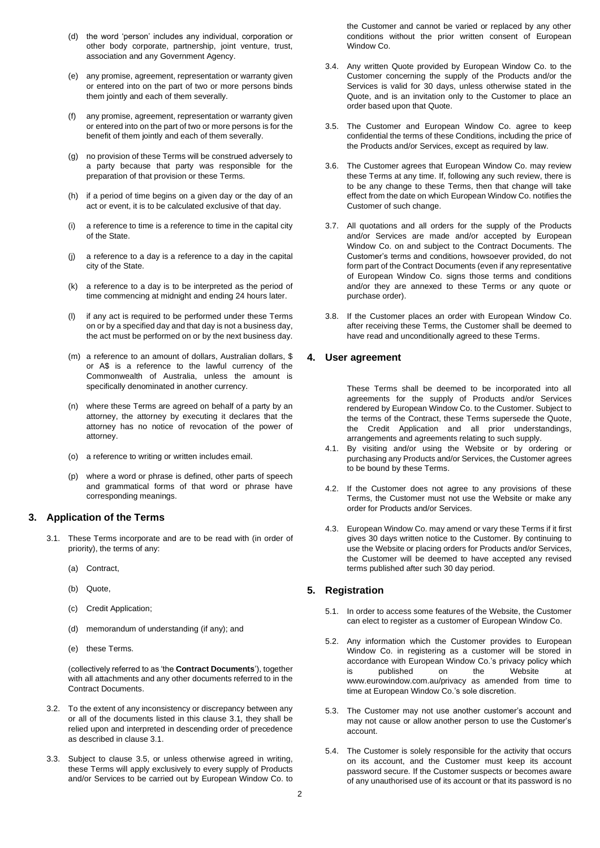- (d) the word 'person' includes any individual, corporation or other body corporate, partnership, joint venture, trust, association and any Government Agency.
- (e) any promise, agreement, representation or warranty given or entered into on the part of two or more persons binds them jointly and each of them severally.
- (f) any promise, agreement, representation or warranty given or entered into on the part of two or more persons is for the benefit of them jointly and each of them severally.
- (g) no provision of these Terms will be construed adversely to a party because that party was responsible for the preparation of that provision or these Terms.
- (h) if a period of time begins on a given day or the day of an act or event, it is to be calculated exclusive of that day.
- (i) a reference to time is a reference to time in the capital city of the State.
- (j) a reference to a day is a reference to a day in the capital city of the State.
- (k) a reference to a day is to be interpreted as the period of time commencing at midnight and ending 24 hours later.
- (l) if any act is required to be performed under these Terms on or by a specified day and that day is not a business day, the act must be performed on or by the next business day.
- (m) a reference to an amount of dollars, Australian dollars, \$ or A\$ is a reference to the lawful currency of the Commonwealth of Australia, unless the amount is specifically denominated in another currency.
- (n) where these Terms are agreed on behalf of a party by an attorney, the attorney by executing it declares that the attorney has no notice of revocation of the power of attorney.
- (o) a reference to writing or written includes email.
- (p) where a word or phrase is defined, other parts of speech and grammatical forms of that word or phrase have corresponding meanings.

# **3. Application of the Terms**

- 3.1. These Terms incorporate and are to be read with (in order of priority), the terms of any:
	- (a) Contract,
	- (b) Quote,
	- (c) Credit Application;
	- (d) memorandum of understanding (if any); and
	- (e) these Terms.

(collectively referred to as 'the **Contract Documents**'), together with all attachments and any other documents referred to in the Contract Documents.

- 3.2. To the extent of any inconsistency or discrepancy between any or all of the documents listed in this clause 3.1, they shall be relied upon and interpreted in descending order of precedence as described in clause 3.1.
- 3.3. Subject to clause 3.5, or unless otherwise agreed in writing, these Terms will apply exclusively to every supply of Products and/or Services to be carried out by European Window Co. to

the Customer and cannot be varied or replaced by any other conditions without the prior written consent of European Window Co.

- 3.4. Any written Quote provided by European Window Co. to the Customer concerning the supply of the Products and/or the Services is valid for 30 days, unless otherwise stated in the Quote, and is an invitation only to the Customer to place an order based upon that Quote.
- 3.5. The Customer and European Window Co. agree to keep confidential the terms of these Conditions, including the price of the Products and/or Services, except as required by law.
- 3.6. The Customer agrees that European Window Co. may review these Terms at any time. If, following any such review, there is to be any change to these Terms, then that change will take effect from the date on which European Window Co. notifies the Customer of such change.
- 3.7. All quotations and all orders for the supply of the Products and/or Services are made and/or accepted by European Window Co. on and subject to the Contract Documents. The Customer's terms and conditions, howsoever provided, do not form part of the Contract Documents (even if any representative of European Window Co. signs those terms and conditions and/or they are annexed to these Terms or any quote or purchase order).
- 3.8. If the Customer places an order with European Window Co. after receiving these Terms, the Customer shall be deemed to have read and unconditionally agreed to these Terms.

#### **4. User agreement**

These Terms shall be deemed to be incorporated into all agreements for the supply of Products and/or Services rendered by European Window Co. to the Customer. Subject to the terms of the Contract, these Terms supersede the Quote, the Credit Application and all prior understandings, arrangements and agreements relating to such supply.

- 4.1. By visiting and/or using the Website or by ordering or purchasing any Products and/or Services, the Customer agrees to be bound by these Terms.
- 4.2. If the Customer does not agree to any provisions of these Terms, the Customer must not use the Website or make any order for Products and/or Services.
- 4.3. European Window Co. may amend or vary these Terms if it first gives 30 days written notice to the Customer. By continuing to use the Website or placing orders for Products and/or Services, the Customer will be deemed to have accepted any revised terms published after such 30 day period.

#### **5. Registration**

- 5.1. In order to access some features of the Website, the Customer can elect to register as a customer of European Window Co.
- 5.2. Any information which the Customer provides to European Window Co. in registering as a customer will be stored in accordance with European Window Co.'s privacy policy which is published on the Website at www.eurowindow.com.au/privacy as amended from time to time at European Window Co.'s sole discretion.
- 5.3. The Customer may not use another customer's account and may not cause or allow another person to use the Customer's account.
- 5.4. The Customer is solely responsible for the activity that occurs on its account, and the Customer must keep its account password secure. If the Customer suspects or becomes aware of any unauthorised use of its account or that its password is no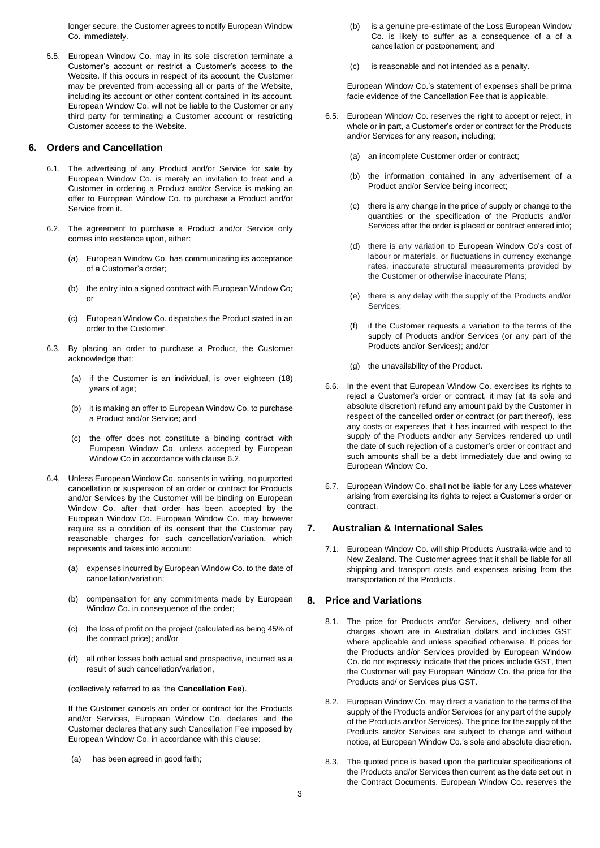longer secure, the Customer agrees to notify European Window Co. immediately.

5.5. European Window Co. may in its sole discretion terminate a Customer's account or restrict a Customer's access to the Website. If this occurs in respect of its account, the Customer may be prevented from accessing all or parts of the Website, including its account or other content contained in its account. European Window Co. will not be liable to the Customer or any third party for terminating a Customer account or restricting Customer access to the Website.

### **6. Orders and Cancellation**

- 6.1. The advertising of any Product and/or Service for sale by European Window Co. is merely an invitation to treat and a Customer in ordering a Product and/or Service is making an offer to European Window Co. to purchase a Product and/or Service from it.
- 6.2. The agreement to purchase a Product and/or Service only comes into existence upon, either:
	- (a) European Window Co. has communicating its acceptance of a Customer's order;
	- (b) the entry into a signed contract with European Window Co; or
	- (c) European Window Co. dispatches the Product stated in an order to the Customer.
- 6.3. By placing an order to purchase a Product, the Customer acknowledge that:
	- (a) if the Customer is an individual, is over eighteen (18) years of age;
	- (b) it is making an offer to European Window Co. to purchase a Product and/or Service; and
	- (c) the offer does not constitute a binding contract with European Window Co. unless accepted by European Window Co in accordance with clause 6.2.
- 6.4. Unless European Window Co. consents in writing, no purported cancellation or suspension of an order or contract for Products and/or Services by the Customer will be binding on European Window Co. after that order has been accepted by the European Window Co. European Window Co. may however require as a condition of its consent that the Customer pay reasonable charges for such cancellation/variation, which represents and takes into account:
	- (a) expenses incurred by European Window Co. to the date of cancellation/variation;
	- (b) compensation for any commitments made by European Window Co. in consequence of the order;
	- (c) the loss of profit on the project (calculated as being 45% of the contract price); and/or
	- (d) all other losses both actual and prospective, incurred as a result of such cancellation/variation,

(collectively referred to as 'the **Cancellation Fee**).

If the Customer cancels an order or contract for the Products and/or Services, European Window Co. declares and the Customer declares that any such Cancellation Fee imposed by European Window Co. in accordance with this clause:

(a) has been agreed in good faith;

- (b) is a genuine pre-estimate of the Loss European Window Co. is likely to suffer as a consequence of a of a cancellation or postponement; and
- (c) is reasonable and not intended as a penalty.

European Window Co.'s statement of expenses shall be prima facie evidence of the Cancellation Fee that is applicable.

- 6.5. European Window Co. reserves the right to accept or reject, in whole or in part, a Customer's order or contract for the Products and/or Services for any reason, including;
	- (a) an incomplete Customer order or contract;
	- (b) the information contained in any advertisement of a Product and/or Service being incorrect;
	- (c) there is any change in the price of supply or change to the quantities or the specification of the Products and/or Services after the order is placed or contract entered into;
	- (d) there is any variation to European Window Co's cost of labour or materials, or fluctuations in currency exchange rates, inaccurate structural measurements provided by the Customer or otherwise inaccurate Plans;
	- (e) there is any delay with the supply of the Products and/or Services;
	- (f) if the Customer requests a variation to the terms of the supply of Products and/or Services (or any part of the Products and/or Services); and/or
	- (g) the unavailability of the Product.
- 6.6. In the event that European Window Co. exercises its rights to reject a Customer's order or contract, it may (at its sole and absolute discretion) refund any amount paid by the Customer in respect of the cancelled order or contract (or part thereof), less any costs or expenses that it has incurred with respect to the supply of the Products and/or any Services rendered up until the date of such rejection of a customer's order or contract and such amounts shall be a debt immediately due and owing to European Window Co.
- 6.7. European Window Co. shall not be liable for any Loss whatever arising from exercising its rights to reject a Customer's order or contract.

## **7. Australian & International Sales**

7.1. European Window Co. will ship Products Australia-wide and to New Zealand. The Customer agrees that it shall be liable for all shipping and transport costs and expenses arising from the transportation of the Products.

#### **8. Price and Variations**

- 8.1. The price for Products and/or Services, delivery and other charges shown are in Australian dollars and includes GST where applicable and unless specified otherwise. If prices for the Products and/or Services provided by European Window Co. do not expressly indicate that the prices include GST, then the Customer will pay European Window Co. the price for the Products and/ or Services plus GST.
- 8.2. European Window Co. may direct a variation to the terms of the supply of the Products and/or Services (or any part of the supply of the Products and/or Services). The price for the supply of the Products and/or Services are subject to change and without notice, at European Window Co.'s sole and absolute discretion.
- 8.3. The quoted price is based upon the particular specifications of the Products and/or Services then current as the date set out in the Contract Documents. European Window Co. reserves the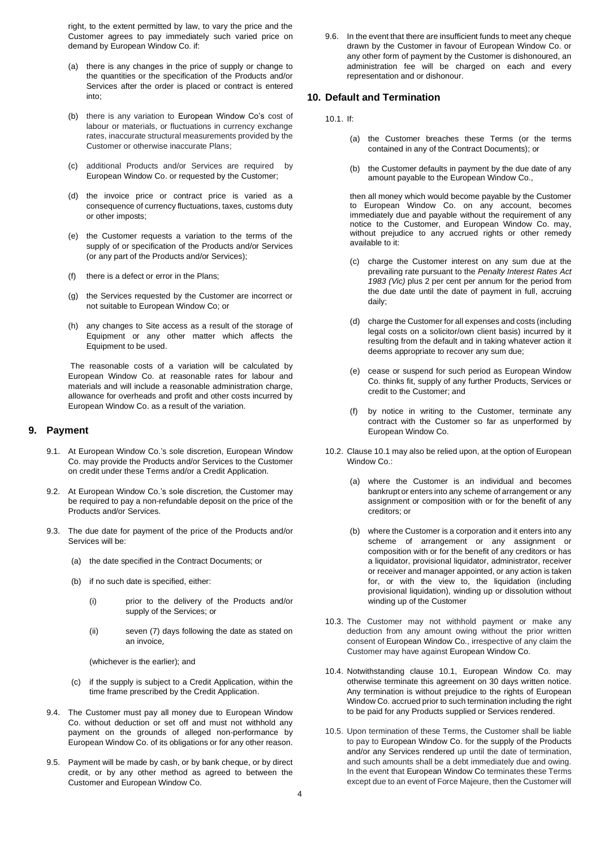right, to the extent permitted by law, to vary the price and the Customer agrees to pay immediately such varied price on demand by European Window Co. if:

- (a) there is any changes in the price of supply or change to the quantities or the specification of the Products and/or Services after the order is placed or contract is entered into;
- (b) there is any variation to European Window Co's cost of labour or materials, or fluctuations in currency exchange rates, inaccurate structural measurements provided by the Customer or otherwise inaccurate Plans;
- (c) additional Products and/or Services are required by European Window Co. or requested by the Customer;
- (d) the invoice price or contract price is varied as a consequence of currency fluctuations, taxes, customs duty or other imposts;
- (e) the Customer requests a variation to the terms of the supply of or specification of the Products and/or Services (or any part of the Products and/or Services);
- (f) there is a defect or error in the Plans;
- (g) the Services requested by the Customer are incorrect or not suitable to European Window Co; or
- (h) any changes to Site access as a result of the storage of Equipment or any other matter which affects the Equipment to be used.

The reasonable costs of a variation will be calculated by European Window Co. at reasonable rates for labour and materials and will include a reasonable administration charge, allowance for overheads and profit and other costs incurred by European Window Co. as a result of the variation.

#### **9. Payment**

- 9.1. At European Window Co.'s sole discretion, European Window Co. may provide the Products and/or Services to the Customer on credit under these Terms and/or a Credit Application.
- 9.2. At European Window Co.'s sole discretion, the Customer may be required to pay a non-refundable deposit on the price of the Products and/or Services.
- 9.3. The due date for payment of the price of the Products and/or Services will be:
	- (a) the date specified in the Contract Documents; or
	- (b) if no such date is specified, either:
		- (i) prior to the delivery of the Products and/or supply of the Services; or
		- (ii) seven (7) days following the date as stated on an invoice,

(whichever is the earlier); and

- (c) if the supply is subject to a Credit Application, within the time frame prescribed by the Credit Application.
- 9.4. The Customer must pay all money due to European Window Co. without deduction or set off and must not withhold any payment on the grounds of alleged non-performance by European Window Co. of its obligations or for any other reason.
- 9.5. Payment will be made by cash, or by bank cheque, or by direct credit, or by any other method as agreed to between the Customer and European Window Co.

9.6. In the event that there are insufficient funds to meet any cheque drawn by the Customer in favour of European Window Co. or any other form of payment by the Customer is dishonoured, an administration fee will be charged on each and every representation and or dishonour.

#### **10. Default and Termination**

- 10.1. If:
	- (a) the Customer breaches these Terms (or the terms contained in any of the Contract Documents); or
	- (b) the Customer defaults in payment by the due date of any amount payable to the European Window Co.,

then all money which would become payable by the Customer to European Window Co. on any account, becomes immediately due and payable without the requirement of any notice to the Customer, and European Window Co. may, without prejudice to any accrued rights or other remedy available to it:

- (c) charge the Customer interest on any sum due at the prevailing rate pursuant to the *Penalty Interest Rates Act 1983 (Vic)* plus 2 per cent per annum for the period from the due date until the date of payment in full, accruing daily;
- (d) charge the Customer for all expenses and costs (including legal costs on a solicitor/own client basis) incurred by it resulting from the default and in taking whatever action it deems appropriate to recover any sum due;
- (e) cease or suspend for such period as European Window Co. thinks fit, supply of any further Products, Services or credit to the Customer; and
- (f) by notice in writing to the Customer, terminate any contract with the Customer so far as unperformed by European Window Co.
- 10.2. Clause 10.1 may also be relied upon, at the option of European Window Co.:
	- (a) where the Customer is an individual and becomes bankrupt or enters into any scheme of arrangement or any assignment or composition with or for the benefit of any creditors; or
	- (b) where the Customer is a corporation and it enters into any scheme of arrangement or any assignment or composition with or for the benefit of any creditors or has a liquidator, provisional liquidator, administrator, receiver or receiver and manager appointed, or any action is taken for, or with the view to, the liquidation (including provisional liquidation), winding up or dissolution without winding up of the Customer
- 10.3. The Customer may not withhold payment or make any deduction from any amount owing without the prior written consent of European Window Co., irrespective of any claim the Customer may have against European Window Co.
- 10.4. Notwithstanding clause 10.1, European Window Co. may otherwise terminate this agreement on 30 days written notice. Any termination is without prejudice to the rights of European Window Co. accrued prior to such termination including the right to be paid for any Products supplied or Services rendered.
- 10.5. Upon termination of these Terms, the Customer shall be liable to pay to European Window Co. for the supply of the Products and/or any Services rendered up until the date of termination, and such amounts shall be a debt immediately due and owing. In the event that European Window Co terminates these Terms except due to an event of Force Majeure, then the Customer will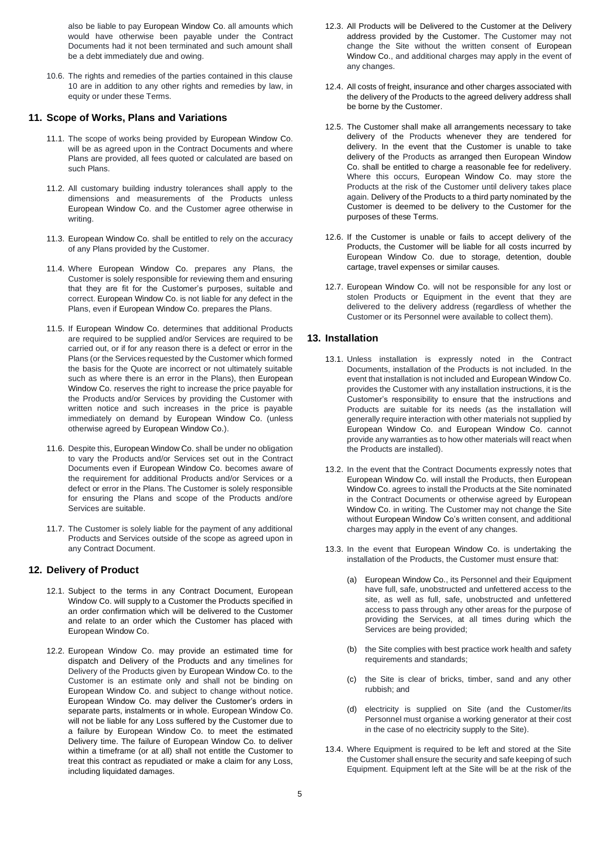also be liable to pay European Window Co. all amounts which would have otherwise been payable under the Contract Documents had it not been terminated and such amount shall be a debt immediately due and owing.

10.6. The rights and remedies of the parties contained in this clause 10 are in addition to any other rights and remedies by law, in equity or under these Terms.

## **11. Scope of Works, Plans and Variations**

- 11.1. The scope of works being provided by European Window Co. will be as agreed upon in the Contract Documents and where Plans are provided, all fees quoted or calculated are based on such Plans.
- 11.2. All customary building industry tolerances shall apply to the dimensions and measurements of the Products unless European Window Co. and the Customer agree otherwise in writing.
- 11.3. European Window Co. shall be entitled to rely on the accuracy of any Plans provided by the Customer.
- 11.4. Where European Window Co. prepares any Plans, the Customer is solely responsible for reviewing them and ensuring that they are fit for the Customer's purposes, suitable and correct. European Window Co. is not liable for any defect in the Plans, even if European Window Co. prepares the Plans.
- 11.5. If European Window Co. determines that additional Products are required to be supplied and/or Services are required to be carried out, or if for any reason there is a defect or error in the Plans (or the Services requested by the Customer which formed the basis for the Quote are incorrect or not ultimately suitable such as where there is an error in the Plans), then European Window Co. reserves the right to increase the price payable for the Products and/or Services by providing the Customer with written notice and such increases in the price is payable immediately on demand by European Window Co. (unless otherwise agreed by European Window Co.).
- 11.6. Despite this, European Window Co. shall be under no obligation to vary the Products and/or Services set out in the Contract Documents even if European Window Co. becomes aware of the requirement for additional Products and/or Services or a defect or error in the Plans. The Customer is solely responsible for ensuring the Plans and scope of the Products and/ore Services are suitable.
- 11.7. The Customer is solely liable for the payment of any additional Products and Services outside of the scope as agreed upon in any Contract Document.

# **12. Delivery of Product**

- 12.1. Subject to the terms in any Contract Document, European Window Co. will supply to a Customer the Products specified in an order confirmation which will be delivered to the Customer and relate to an order which the Customer has placed with European Window Co.
- 12.2. European Window Co. may provide an estimated time for dispatch and Delivery of the Products and any timelines for Delivery of the Products given by European Window Co. to the Customer is an estimate only and shall not be binding on European Window Co. and subject to change without notice. European Window Co. may deliver the Customer's orders in separate parts, instalments or in whole. European Window Co. will not be liable for any Loss suffered by the Customer due to a failure by European Window Co. to meet the estimated Delivery time. The failure of European Window Co. to deliver within a timeframe (or at all) shall not entitle the Customer to treat this contract as repudiated or make a claim for any Loss, including liquidated damages.
- 12.3. All Products will be Delivered to the Customer at the Delivery address provided by the Customer. The Customer may not change the Site without the written consent of European Window Co., and additional charges may apply in the event of any changes.
- 12.4. All costs of freight, insurance and other charges associated with the delivery of the Products to the agreed delivery address shall be borne by the Customer.
- 12.5. The Customer shall make all arrangements necessary to take delivery of the Products whenever they are tendered for delivery. In the event that the Customer is unable to take delivery of the Products as arranged then European Window Co. shall be entitled to charge a reasonable fee for redelivery. Where this occurs, European Window Co. may store the Products at the risk of the Customer until delivery takes place again. Delivery of the Products to a third party nominated by the Customer is deemed to be delivery to the Customer for the purposes of these Terms.
- 12.6. If the Customer is unable or fails to accept delivery of the Products, the Customer will be liable for all costs incurred by European Window Co. due to storage, detention, double cartage, travel expenses or similar causes.
- 12.7. European Window Co. will not be responsible for any lost or stolen Products or Equipment in the event that they are delivered to the delivery address (regardless of whether the Customer or its Personnel were available to collect them).

## **13. Installation**

- 13.1. Unless installation is expressly noted in the Contract Documents, installation of the Products is not included. In the event that installation is not included and European Window Co. provides the Customer with any installation instructions, it is the Customer's responsibility to ensure that the instructions and Products are suitable for its needs (as the installation will generally require interaction with other materials not supplied by European Window Co. and European Window Co. cannot provide any warranties as to how other materials will react when the Products are installed).
- 13.2. In the event that the Contract Documents expressly notes that European Window Co. will install the Products, then European Window Co. agrees to install the Products at the Site nominated in the Contract Documents or otherwise agreed by European Window Co. in writing. The Customer may not change the Site without European Window Co's written consent, and additional charges may apply in the event of any changes.
- 13.3. In the event that European Window Co. is undertaking the installation of the Products, the Customer must ensure that:
	- (a) European Window Co., its Personnel and their Equipment have full, safe, unobstructed and unfettered access to the site, as well as full, safe, unobstructed and unfettered access to pass through any other areas for the purpose of providing the Services, at all times during which the Services are being provided;
	- (b) the Site complies with best practice work health and safety requirements and standards;
	- (c) the Site is clear of bricks, timber, sand and any other rubbish; and
	- (d) electricity is supplied on Site (and the Customer/its Personnel must organise a working generator at their cost in the case of no electricity supply to the Site).
- 13.4. Where Equipment is required to be left and stored at the Site the Customer shall ensure the security and safe keeping of such Equipment. Equipment left at the Site will be at the risk of the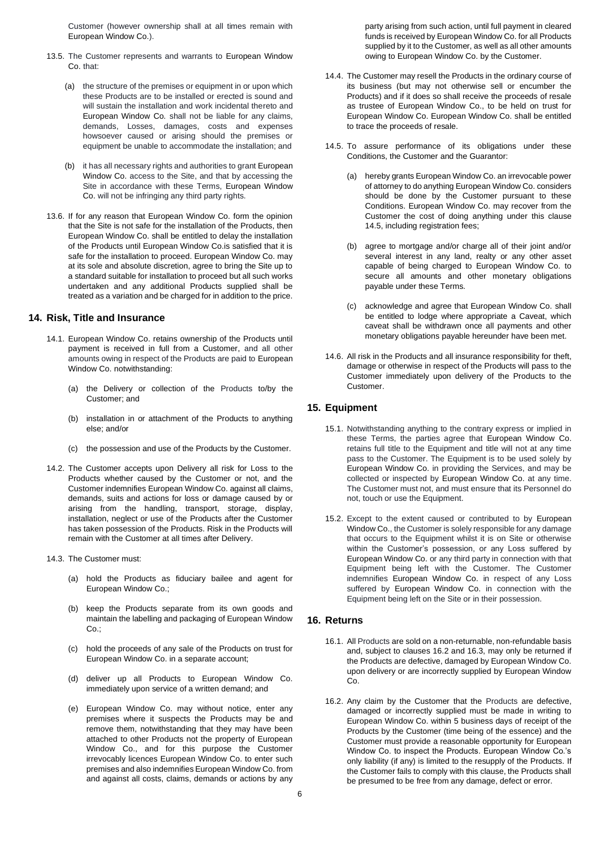Customer (however ownership shall at all times remain with European Window Co.).

- 13.5. The Customer represents and warrants to European Window Co. that:
	- (a) the structure of the premises or equipment in or upon which these Products are to be installed or erected is sound and will sustain the installation and work incidental thereto and European Window Co. shall not be liable for any claims, demands, Losses, damages, costs and expenses howsoever caused or arising should the premises or equipment be unable to accommodate the installation; and
	- (b) it has all necessary rights and authorities to grant European Window Co. access to the Site, and that by accessing the Site in accordance with these Terms, European Window Co. will not be infringing any third party rights.
- 13.6. If for any reason that European Window Co. form the opinion that the Site is not safe for the installation of the Products, then European Window Co. shall be entitled to delay the installation of the Products until European Window Co.is satisfied that it is safe for the installation to proceed. European Window Co. may at its sole and absolute discretion, agree to bring the Site up to a standard suitable for installation to proceed but all such works undertaken and any additional Products supplied shall be treated as a variation and be charged for in addition to the price.

## **14. Risk, Title and Insurance**

- 14.1. European Window Co. retains ownership of the Products until payment is received in full from a Customer, and all other amounts owing in respect of the Products are paid to European Window Co. notwithstanding:
	- (a) the Delivery or collection of the Products to/by the Customer; and
	- (b) installation in or attachment of the Products to anything else; and/or
	- (c) the possession and use of the Products by the Customer.
- 14.2. The Customer accepts upon Delivery all risk for Loss to the Products whether caused by the Customer or not, and the Customer indemnifies European Window Co. against all claims, demands, suits and actions for loss or damage caused by or arising from the handling, transport, storage, display, installation, neglect or use of the Products after the Customer has taken possession of the Products. Risk in the Products will remain with the Customer at all times after Delivery.
- 14.3. The Customer must:
	- (a) hold the Products as fiduciary bailee and agent for European Window Co.;
	- (b) keep the Products separate from its own goods and maintain the labelling and packaging of European Window  $C_0$ .
	- (c) hold the proceeds of any sale of the Products on trust for European Window Co. in a separate account;
	- (d) deliver up all Products to European Window Co. immediately upon service of a written demand; and
	- (e) European Window Co. may without notice, enter any premises where it suspects the Products may be and remove them, notwithstanding that they may have been attached to other Products not the property of European Window Co., and for this purpose the Customer irrevocably licences European Window Co. to enter such premises and also indemnifies European Window Co. from and against all costs, claims, demands or actions by any

party arising from such action, until full payment in cleared funds is received by European Window Co. for all Products supplied by it to the Customer, as well as all other amounts owing to European Window Co. by the Customer.

- 14.4. The Customer may resell the Products in the ordinary course of its business (but may not otherwise sell or encumber the Products) and if it does so shall receive the proceeds of resale as trustee of European Window Co., to be held on trust for European Window Co. European Window Co. shall be entitled to trace the proceeds of resale.
- 14.5. To assure performance of its obligations under these Conditions, the Customer and the Guarantor:
	- (a) hereby grants European Window Co. an irrevocable power of attorney to do anything European Window Co. considers should be done by the Customer pursuant to these Conditions. European Window Co. may recover from the Customer the cost of doing anything under this clause 14.5, including registration fees;
	- (b) agree to mortgage and/or charge all of their joint and/or several interest in any land, realty or any other asset capable of being charged to European Window Co. to secure all amounts and other monetary obligations payable under these Terms.
	- (c) acknowledge and agree that European Window Co. shall be entitled to lodge where appropriate a Caveat, which caveat shall be withdrawn once all payments and other monetary obligations payable hereunder have been met.
- 14.6. All risk in the Products and all insurance responsibility for theft, damage or otherwise in respect of the Products will pass to the Customer immediately upon delivery of the Products to the Customer.

#### **15. Equipment**

- 15.1. Notwithstanding anything to the contrary express or implied in these Terms, the parties agree that European Window Co. retains full title to the Equipment and title will not at any time pass to the Customer. The Equipment is to be used solely by European Window Co. in providing the Services, and may be collected or inspected by European Window Co. at any time. The Customer must not, and must ensure that its Personnel do not, touch or use the Equipment.
- 15.2. Except to the extent caused or contributed to by European Window Co., the Customer is solely responsible for any damage that occurs to the Equipment whilst it is on Site or otherwise within the Customer's possession, or any Loss suffered by European Window Co. or any third party in connection with that Equipment being left with the Customer. The Customer indemnifies European Window Co. in respect of any Loss suffered by European Window Co. in connection with the Equipment being left on the Site or in their possession.

#### **16. Returns**

- 16.1. All Products are sold on a non-returnable, non-refundable basis and, subject to clauses 16.2 and 16.3, may only be returned if the Products are defective, damaged by European Window Co. upon delivery or are incorrectly supplied by European Window Co.
- 16.2. Any claim by the Customer that the Products are defective, damaged or incorrectly supplied must be made in writing to European Window Co. within 5 business days of receipt of the Products by the Customer (time being of the essence) and the Customer must provide a reasonable opportunity for European Window Co. to inspect the Products. European Window Co.'s only liability (if any) is limited to the resupply of the Products. If the Customer fails to comply with this clause, the Products shall be presumed to be free from any damage, defect or error.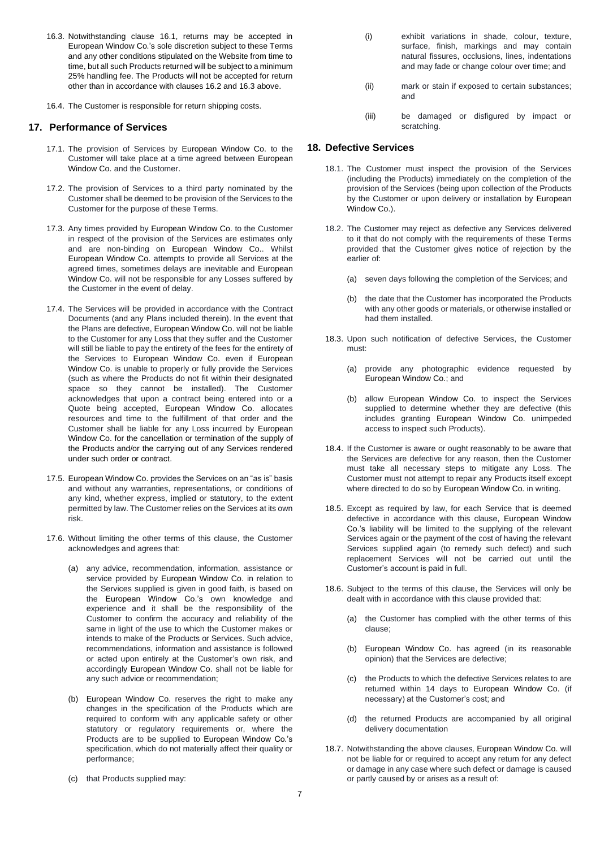- 16.3. Notwithstanding clause 16.1, returns may be accepted in European Window Co.'s sole discretion subject to these Terms and any other conditions stipulated on the Website from time to time, but all such Products returned will be subject to a minimum 25% handling fee. The Products will not be accepted for return other than in accordance with clauses 16.2 and 16.3 above.
- 16.4. The Customer is responsible for return shipping costs.

### **17. Performance of Services**

- 17.1. The provision of Services by European Window Co. to the Customer will take place at a time agreed between European Window Co. and the Customer.
- 17.2. The provision of Services to a third party nominated by the Customer shall be deemed to be provision of the Services to the Customer for the purpose of these Terms.
- 17.3. Any times provided by European Window Co. to the Customer in respect of the provision of the Services are estimates only and are non-binding on European Window Co.. Whilst European Window Co. attempts to provide all Services at the agreed times, sometimes delays are inevitable and European Window Co. will not be responsible for any Losses suffered by the Customer in the event of delay.
- 17.4. The Services will be provided in accordance with the Contract Documents (and any Plans included therein). In the event that the Plans are defective, European Window Co. will not be liable to the Customer for any Loss that they suffer and the Customer will still be liable to pay the entirety of the fees for the entirety of the Services to European Window Co. even if European Window Co. is unable to properly or fully provide the Services (such as where the Products do not fit within their designated space so they cannot be installed). The Customer acknowledges that upon a contract being entered into or a Quote being accepted, European Window Co. allocates resources and time to the fulfillment of that order and the Customer shall be liable for any Loss incurred by European Window Co. for the cancellation or termination of the supply of the Products and/or the carrying out of any Services rendered under such order or contract.
- 17.5. European Window Co. provides the Services on an "as is" basis and without any warranties, representations, or conditions of any kind, whether express, implied or statutory, to the extent permitted by law. The Customer relies on the Services at its own risk.
- 17.6. Without limiting the other terms of this clause, the Customer acknowledges and agrees that:
	- (a) any advice, recommendation, information, assistance or service provided by European Window Co. in relation to the Services supplied is given in good faith, is based on the European Window Co.'s own knowledge and experience and it shall be the responsibility of the Customer to confirm the accuracy and reliability of the same in light of the use to which the Customer makes or intends to make of the Products or Services. Such advice, recommendations, information and assistance is followed or acted upon entirely at the Customer's own risk, and accordingly European Window Co. shall not be liable for any such advice or recommendation;
	- (b) European Window Co. reserves the right to make any changes in the specification of the Products which are required to conform with any applicable safety or other statutory or regulatory requirements or, where the Products are to be supplied to European Window Co.'s specification, which do not materially affect their quality or performance;
- (i) exhibit variations in shade, colour, texture, surface, finish, markings and may contain natural fissures, occlusions, lines, indentations and may fade or change colour over time; and
- (ii) mark or stain if exposed to certain substances; and
- (iii) be damaged or disfigured by impact or scratching.

#### **18. Defective Services**

- 18.1. The Customer must inspect the provision of the Services (including the Products) immediately on the completion of the provision of the Services (being upon collection of the Products by the Customer or upon delivery or installation by European Window Co.).
- 18.2. The Customer may reject as defective any Services delivered to it that do not comply with the requirements of these Terms provided that the Customer gives notice of rejection by the earlier of:
	- (a) seven days following the completion of the Services; and
	- (b) the date that the Customer has incorporated the Products with any other goods or materials, or otherwise installed or had them installed.
- 18.3. Upon such notification of defective Services, the Customer must:
	- (a) provide any photographic evidence requested by European Window Co.; and
	- (b) allow European Window Co. to inspect the Services supplied to determine whether they are defective (this includes granting European Window Co. unimpeded access to inspect such Products).
- 18.4. If the Customer is aware or ought reasonably to be aware that the Services are defective for any reason, then the Customer must take all necessary steps to mitigate any Loss. The Customer must not attempt to repair any Products itself except where directed to do so by European Window Co. in writing.
- 18.5. Except as required by law, for each Service that is deemed defective in accordance with this clause, European Window Co.'s liability will be limited to the supplying of the relevant Services again or the payment of the cost of having the relevant Services supplied again (to remedy such defect) and such replacement Services will not be carried out until the Customer's account is paid in full.
- 18.6. Subject to the terms of this clause, the Services will only be dealt with in accordance with this clause provided that:
	- (a) the Customer has complied with the other terms of this clause;
	- (b) European Window Co. has agreed (in its reasonable opinion) that the Services are defective;
	- (c) the Products to which the defective Services relates to are returned within 14 days to European Window Co. (if necessary) at the Customer's cost; and
	- (d) the returned Products are accompanied by all original delivery documentation
- 18.7. Notwithstanding the above clauses, European Window Co. will not be liable for or required to accept any return for any defect or damage in any case where such defect or damage is caused or partly caused by or arises as a result of:

(c) that Products supplied may: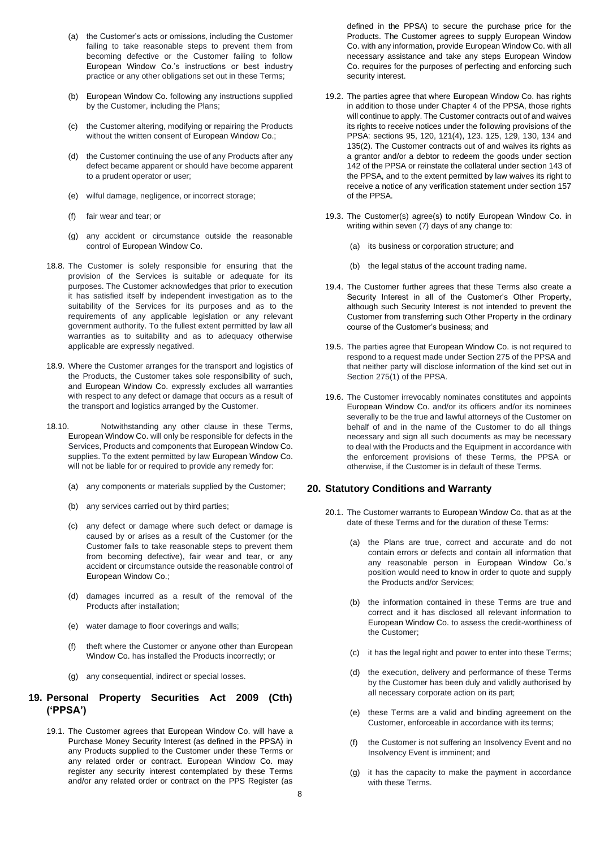- (a) the Customer's acts or omissions, including the Customer failing to take reasonable steps to prevent them from becoming defective or the Customer failing to follow European Window Co.'s instructions or best industry practice or any other obligations set out in these Terms;
- (b) European Window Co. following any instructions supplied by the Customer, including the Plans;
- (c) the Customer altering, modifying or repairing the Products without the written consent of European Window Co.;
- (d) the Customer continuing the use of any Products after any defect became apparent or should have become apparent to a prudent operator or user;
- (e) wilful damage, negligence, or incorrect storage;
- (f) fair wear and tear; or
- (g) any accident or circumstance outside the reasonable control of European Window Co.
- 18.8. The Customer is solely responsible for ensuring that the provision of the Services is suitable or adequate for its purposes. The Customer acknowledges that prior to execution it has satisfied itself by independent investigation as to the suitability of the Services for its purposes and as to the requirements of any applicable legislation or any relevant government authority. To the fullest extent permitted by law all warranties as to suitability and as to adequacy otherwise applicable are expressly negatived.
- 18.9. Where the Customer arranges for the transport and logistics of the Products, the Customer takes sole responsibility of such, and European Window Co. expressly excludes all warranties with respect to any defect or damage that occurs as a result of the transport and logistics arranged by the Customer.
- 18.10. Notwithstanding any other clause in these Terms, European Window Co. will only be responsible for defects in the Services, Products and components that European Window Co. supplies. To the extent permitted by law European Window Co. will not be liable for or required to provide any remedy for:
	- (a) any components or materials supplied by the Customer;
	- (b) any services carried out by third parties;
	- (c) any defect or damage where such defect or damage is caused by or arises as a result of the Customer (or the Customer fails to take reasonable steps to prevent them from becoming defective), fair wear and tear, or any accident or circumstance outside the reasonable control of European Window Co.;
	- (d) damages incurred as a result of the removal of the Products after installation;
	- (e) water damage to floor coverings and walls;
	- (f) theft where the Customer or anyone other than European Window Co. has installed the Products incorrectly; or
	- (g) any consequential, indirect or special losses.

# **19. Personal Property Securities Act 2009 (Cth) ('PPSA')**

19.1. The Customer agrees that European Window Co. will have a Purchase Money Security Interest (as defined in the PPSA) in any Products supplied to the Customer under these Terms or any related order or contract. European Window Co. may register any security interest contemplated by these Terms and/or any related order or contract on the PPS Register (as

defined in the PPSA) to secure the purchase price for the Products. The Customer agrees to supply European Window Co. with any information, provide European Window Co. with all necessary assistance and take any steps European Window Co. requires for the purposes of perfecting and enforcing such security interest.

- 19.2. The parties agree that where European Window Co. has rights in addition to those under Chapter 4 of the PPSA, those rights will continue to apply. The Customer contracts out of and waives its rights to receive notices under the following provisions of the PPSA: sections 95, 120, 121(4), 123. 125, 129, 130, 134 and 135(2). The Customer contracts out of and waives its rights as a grantor and/or a debtor to redeem the goods under section 142 of the PPSA or reinstate the collateral under section 143 of the PPSA, and to the extent permitted by law waives its right to receive a notice of any verification statement under section 157 of the PPSA.
- 19.3. The Customer(s) agree(s) to notify European Window Co. in writing within seven (7) days of any change to:
	- (a) its business or corporation structure; and
	- (b) the legal status of the account trading name.
- 19.4. The Customer further agrees that these Terms also create a Security Interest in all of the Customer's Other Property, although such Security Interest is not intended to prevent the Customer from transferring such Other Property in the ordinary course of the Customer's business; and
- 19.5. The parties agree that European Window Co. is not required to respond to a request made under Section 275 of the PPSA and that neither party will disclose information of the kind set out in Section 275(1) of the PPSA.
- 19.6. The Customer irrevocably nominates constitutes and appoints European Window Co. and/or its officers and/or its nominees severally to be the true and lawful attorneys of the Customer on behalf of and in the name of the Customer to do all things necessary and sign all such documents as may be necessary to deal with the Products and the Equipment in accordance with the enforcement provisions of these Terms, the PPSA or otherwise, if the Customer is in default of these Terms.

# **20. Statutory Conditions and Warranty**

- 20.1. The Customer warrants to European Window Co. that as at the date of these Terms and for the duration of these Terms:
	- (a) the Plans are true, correct and accurate and do not contain errors or defects and contain all information that any reasonable person in European Window Co.'s position would need to know in order to quote and supply the Products and/or Services;
	- (b) the information contained in these Terms are true and correct and it has disclosed all relevant information to European Window Co. to assess the credit-worthiness of the Customer;
	- (c) it has the legal right and power to enter into these Terms;
	- (d) the execution, delivery and performance of these Terms by the Customer has been duly and validly authorised by all necessary corporate action on its part;
	- (e) these Terms are a valid and binding agreement on the Customer, enforceable in accordance with its terms;
	- (f) the Customer is not suffering an Insolvency Event and no Insolvency Event is imminent; and
	- (g) it has the capacity to make the payment in accordance with these Terms.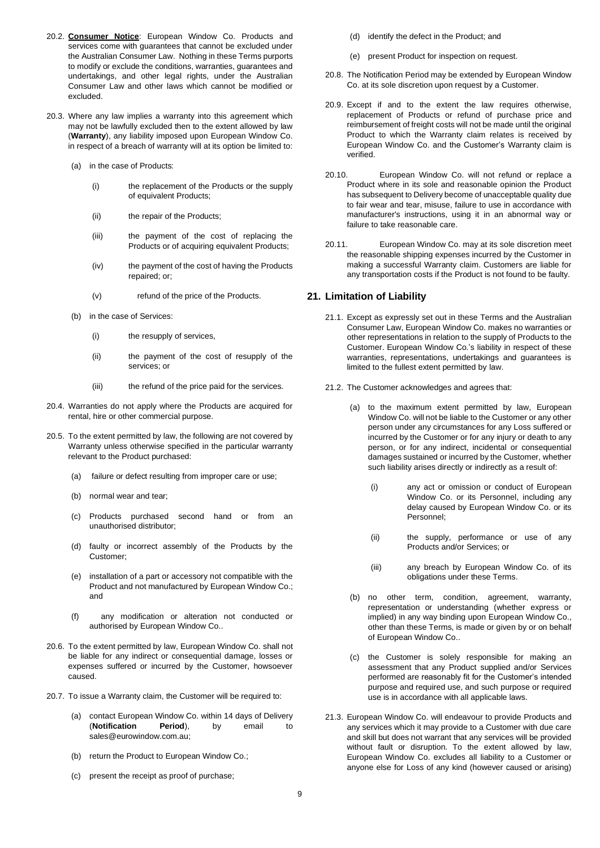- 20.2. **Consumer Notice**: European Window Co. Products and services come with guarantees that cannot be excluded under the Australian Consumer Law. Nothing in these Terms purports to modify or exclude the conditions, warranties, guarantees and undertakings, and other legal rights, under the Australian Consumer Law and other laws which cannot be modified or excluded.
- 20.3. Where any law implies a warranty into this agreement which may not be lawfully excluded then to the extent allowed by law (**Warranty**), any liability imposed upon European Window Co. in respect of a breach of warranty will at its option be limited to:
	- in the case of Products:
		- (i) the replacement of the Products or the supply of equivalent Products;
		- (ii) the repair of the Products;
		- (iii) the payment of the cost of replacing the Products or of acquiring equivalent Products;
		- (iv) the payment of the cost of having the Products repaired; or;
		- (v) refund of the price of the Products.
	- (b) in the case of Services:
		- (i) the resupply of services,
		- (ii) the payment of the cost of resupply of the services; or
		- (iii) the refund of the price paid for the services.
- 20.4. Warranties do not apply where the Products are acquired for rental, hire or other commercial purpose.
- 20.5. To the extent permitted by law, the following are not covered by Warranty unless otherwise specified in the particular warranty relevant to the Product purchased:
	- (a) failure or defect resulting from improper care or use;
	- (b) normal wear and tear;
	- (c) Products purchased second hand or from an unauthorised distributor;
	- (d) faulty or incorrect assembly of the Products by the Customer;
	- (e) installation of a part or accessory not compatible with the Product and not manufactured by European Window Co.; and
	- (f) any modification or alteration not conducted or authorised by European Window Co..
- 20.6. To the extent permitted by law, European Window Co. shall not be liable for any indirect or consequential damage, losses or expenses suffered or incurred by the Customer, howsoever caused.
- 20.7. To issue a Warranty claim, the Customer will be required to:
	- (a) contact European Window Co. within 14 days of Delivery (**Notification Period**), by email to sales@eurowindow.com.au;
	- (b) return the Product to European Window Co.;
	- (c) present the receipt as proof of purchase;
- (d) identify the defect in the Product; and
- (e) present Product for inspection on request.
- 20.8. The Notification Period may be extended by European Window Co. at its sole discretion upon request by a Customer.
- 20.9. Except if and to the extent the law requires otherwise, replacement of Products or refund of purchase price and reimbursement of freight costs will not be made until the original Product to which the Warranty claim relates is received by European Window Co. and the Customer's Warranty claim is verified.
- 20.10. European Window Co. will not refund or replace a Product where in its sole and reasonable opinion the Product has subsequent to Delivery become of unacceptable quality due to fair wear and tear, misuse, failure to use in accordance with manufacturer's instructions, using it in an abnormal way or failure to take reasonable care.
- 20.11. European Window Co. may at its sole discretion meet the reasonable shipping expenses incurred by the Customer in making a successful Warranty claim. Customers are liable for any transportation costs if the Product is not found to be faulty.

#### **21. Limitation of Liability**

- 21.1. Except as expressly set out in these Terms and the Australian Consumer Law, European Window Co. makes no warranties or other representations in relation to the supply of Products to the Customer. European Window Co.'s liability in respect of these warranties, representations, undertakings and guarantees is limited to the fullest extent permitted by law.
- 21.2. The Customer acknowledges and agrees that:
	- (a) to the maximum extent permitted by law, European Window Co. will not be liable to the Customer or any other person under any circumstances for any Loss suffered or incurred by the Customer or for any injury or death to any person, or for any indirect, incidental or consequential damages sustained or incurred by the Customer, whether such liability arises directly or indirectly as a result of:
		- (i) any act or omission or conduct of European Window Co. or its Personnel, including any delay caused by European Window Co. or its Personnel;
		- (ii) the supply, performance or use of any Products and/or Services; or
		- (iii) any breach by European Window Co. of its obligations under these Terms.
	- (b) no other term, condition, agreement, warranty, representation or understanding (whether express or implied) in any way binding upon European Window Co., other than these Terms, is made or given by or on behalf of European Window Co..
	- (c) the Customer is solely responsible for making an assessment that any Product supplied and/or Services performed are reasonably fit for the Customer's intended purpose and required use, and such purpose or required use is in accordance with all applicable laws.
- 21.3. European Window Co. will endeavour to provide Products and any services which it may provide to a Customer with due care and skill but does not warrant that any services will be provided without fault or disruption. To the extent allowed by law, European Window Co. excludes all liability to a Customer or anyone else for Loss of any kind (however caused or arising)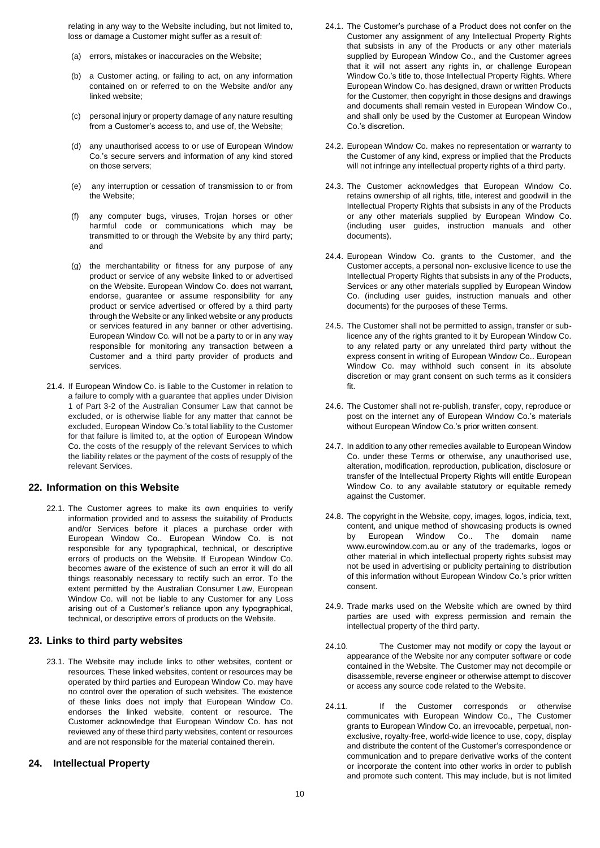relating in any way to the Website including, but not limited to, loss or damage a Customer might suffer as a result of:

- (a) errors, mistakes or inaccuracies on the Website;
- (b) a Customer acting, or failing to act, on any information contained on or referred to on the Website and/or any linked website;
- (c) personal injury or property damage of any nature resulting from a Customer's access to, and use of, the Website;
- (d) any unauthorised access to or use of European Window Co.'s secure servers and information of any kind stored on those servers;
- (e) any interruption or cessation of transmission to or from the Website;
- (f) any computer bugs, viruses, Trojan horses or other harmful code or communications which may be transmitted to or through the Website by any third party; and
- (g) the merchantability or fitness for any purpose of any product or service of any website linked to or advertised on the Website. European Window Co. does not warrant, endorse, guarantee or assume responsibility for any product or service advertised or offered by a third party through the Website or any linked website or any products or services featured in any banner or other advertising. European Window Co. will not be a party to or in any way responsible for monitoring any transaction between a Customer and a third party provider of products and services.
- 21.4. If European Window Co. is liable to the Customer in relation to a failure to comply with a guarantee that applies under Division 1 of Part 3-2 of the Australian Consumer Law that cannot be excluded, or is otherwise liable for any matter that cannot be excluded, European Window Co.'s total liability to the Customer for that failure is limited to, at the option of European Window Co. the costs of the resupply of the relevant Services to which the liability relates or the payment of the costs of resupply of the relevant Services.

# **22. Information on this Website**

22.1. The Customer agrees to make its own enquiries to verify information provided and to assess the suitability of Products and/or Services before it places a purchase order with European Window Co.. European Window Co. is not responsible for any typographical, technical, or descriptive errors of products on the Website. If European Window Co. becomes aware of the existence of such an error it will do all things reasonably necessary to rectify such an error. To the extent permitted by the Australian Consumer Law, European Window Co. will not be liable to any Customer for any Loss arising out of a Customer's reliance upon any typographical, technical, or descriptive errors of products on the Website.

# **23. Links to third party websites**

23.1. The Website may include links to other websites, content or resources. These linked websites, content or resources may be operated by third parties and European Window Co. may have no control over the operation of such websites. The existence of these links does not imply that European Window Co. endorses the linked website, content or resource. The Customer acknowledge that European Window Co. has not reviewed any of these third party websites, content or resources and are not responsible for the material contained therein.

#### **24. Intellectual Property**

- 24.1. The Customer's purchase of a Product does not confer on the Customer any assignment of any Intellectual Property Rights that subsists in any of the Products or any other materials supplied by European Window Co., and the Customer agrees that it will not assert any rights in, or challenge European Window Co.'s title to, those Intellectual Property Rights. Where European Window Co. has designed, drawn or written Products for the Customer, then copyright in those designs and drawings and documents shall remain vested in European Window Co., and shall only be used by the Customer at European Window Co.'s discretion.
- 24.2. European Window Co. makes no representation or warranty to the Customer of any kind, express or implied that the Products will not infringe any intellectual property rights of a third party.
- 24.3. The Customer acknowledges that European Window Co. retains ownership of all rights, title, interest and goodwill in the Intellectual Property Rights that subsists in any of the Products or any other materials supplied by European Window Co. (including user guides, instruction manuals and other documents).
- 24.4. European Window Co. grants to the Customer, and the Customer accepts, a personal non- exclusive licence to use the Intellectual Property Rights that subsists in any of the Products, Services or any other materials supplied by European Window Co. (including user guides, instruction manuals and other documents) for the purposes of these Terms.
- 24.5. The Customer shall not be permitted to assign, transfer or sublicence any of the rights granted to it by European Window Co. to any related party or any unrelated third party without the express consent in writing of European Window Co.. European Window Co. may withhold such consent in its absolute discretion or may grant consent on such terms as it considers fit.
- 24.6. The Customer shall not re-publish, transfer, copy, reproduce or post on the internet any of European Window Co.'s materials without European Window Co.'s prior written consent.
- 24.7. In addition to any other remedies available to European Window Co. under these Terms or otherwise, any unauthorised use, alteration, modification, reproduction, publication, disclosure or transfer of the Intellectual Property Rights will entitle European Window Co. to any available statutory or equitable remedy against the Customer.
- 24.8. The copyright in the Website, copy, images, logos, indicia, text, content, and unique method of showcasing products is owned by European Window Co.. The domain name www.eurowindow.com.au or any of the trademarks, logos or other material in which intellectual property rights subsist may not be used in advertising or publicity pertaining to distribution of this information without European Window Co.'s prior written consent.
- 24.9. Trade marks used on the Website which are owned by third parties are used with express permission and remain the intellectual property of the third party.
- 24.10. The Customer may not modify or copy the layout or appearance of the Website nor any computer software or code contained in the Website. The Customer may not decompile or disassemble, reverse engineer or otherwise attempt to discover or access any source code related to the Website.
- 24.11. If the Customer corresponds or otherwise communicates with European Window Co., The Customer grants to European Window Co. an irrevocable, perpetual, nonexclusive, royalty-free, world-wide licence to use, copy, display and distribute the content of the Customer's correspondence or communication and to prepare derivative works of the content or incorporate the content into other works in order to publish and promote such content. This may include, but is not limited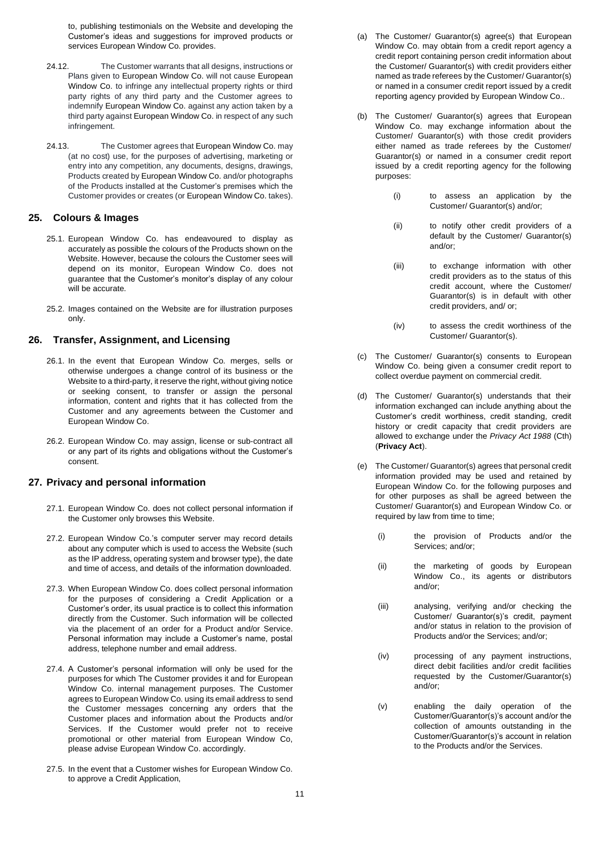to, publishing testimonials on the Website and developing the Customer's ideas and suggestions for improved products or services European Window Co. provides.

- 24.12. The Customer warrants that all designs, instructions or Plans given to European Window Co. will not cause European Window Co. to infringe any intellectual property rights or third party rights of any third party and the Customer agrees to indemnify European Window Co. against any action taken by a third party against European Window Co. in respect of any such infringement.
- 24.13. The Customer agrees that European Window Co. may (at no cost) use, for the purposes of advertising, marketing or entry into any competition, any documents, designs, drawings, Products created by European Window Co. and/or photographs of the Products installed at the Customer's premises which the Customer provides or creates (or European Window Co. takes).

# **25. Colours & Images**

- 25.1. European Window Co. has endeavoured to display as accurately as possible the colours of the Products shown on the Website. However, because the colours the Customer sees will depend on its monitor, European Window Co. does not guarantee that the Customer's monitor's display of any colour will be accurate.
- 25.2. Images contained on the Website are for illustration purposes only.

# **26. Transfer, Assignment, and Licensing**

- 26.1. In the event that European Window Co. merges, sells or otherwise undergoes a change control of its business or the Website to a third-party, it reserve the right, without giving notice or seeking consent, to transfer or assign the personal information, content and rights that it has collected from the Customer and any agreements between the Customer and European Window Co.
- 26.2. European Window Co. may assign, license or sub-contract all or any part of its rights and obligations without the Customer's consent.

### **27. Privacy and personal information**

- 27.1. European Window Co. does not collect personal information if the Customer only browses this Website.
- 27.2. European Window Co.'s computer server may record details about any computer which is used to access the Website (such as the IP address, operating system and browser type), the date and time of access, and details of the information downloaded.
- 27.3. When European Window Co. does collect personal information for the purposes of considering a Credit Application or a Customer's order, its usual practice is to collect this information directly from the Customer. Such information will be collected via the placement of an order for a Product and/or Service. Personal information may include a Customer's name, postal address, telephone number and email address.
- 27.4. A Customer's personal information will only be used for the purposes for which The Customer provides it and for European Window Co. internal management purposes. The Customer agrees to European Window Co. using its email address to send the Customer messages concerning any orders that the Customer places and information about the Products and/or Services. If the Customer would prefer not to receive promotional or other material from European Window Co, please advise European Window Co. accordingly.
- 27.5. In the event that a Customer wishes for European Window Co. to approve a Credit Application,
- (a) The Customer/ Guarantor(s) agree(s) that European Window Co. may obtain from a credit report agency a credit report containing person credit information about the Customer/ Guarantor(s) with credit providers either named as trade referees by the Customer/ Guarantor(s) or named in a consumer credit report issued by a credit reporting agency provided by European Window Co..
- (b) The Customer/ Guarantor(s) agrees that European Window Co. may exchange information about the Customer/ Guarantor(s) with those credit providers either named as trade referees by the Customer/ Guarantor(s) or named in a consumer credit report issued by a credit reporting agency for the following purposes:
	- (i) to assess an application by the Customer/ Guarantor(s) and/or;
	- (ii) to notify other credit providers of a default by the Customer/ Guarantor(s) and/or;
	- (iii) to exchange information with other credit providers as to the status of this credit account, where the Customer/ Guarantor(s) is in default with other credit providers, and/ or;
	- (iv) to assess the credit worthiness of the Customer/ Guarantor(s).
- (c) The Customer/ Guarantor(s) consents to European Window Co. being given a consumer credit report to collect overdue payment on commercial credit.
- (d) The Customer/ Guarantor(s) understands that their information exchanged can include anything about the Customer's credit worthiness, credit standing, credit history or credit capacity that credit providers are allowed to exchange under the *Privacy Act 1988* (Cth) (**Privacy Act**).
- (e) The Customer/ Guarantor(s) agrees that personal credit information provided may be used and retained by European Window Co. for the following purposes and for other purposes as shall be agreed between the Customer/ Guarantor(s) and European Window Co. or required by law from time to time;
	- (i) the provision of Products and/or the Services; and/or;
	- (ii) the marketing of goods by European Window Co., its agents or distributors and/or;
	- (iii) analysing, verifying and/or checking the Customer/ Guarantor(s)'s credit, payment and/or status in relation to the provision of Products and/or the Services; and/or;
	- (iv) processing of any payment instructions, direct debit facilities and/or credit facilities requested by the Customer/Guarantor(s) and/or;
	- (v) enabling the daily operation of the Customer/Guarantor(s)'s account and/or the collection of amounts outstanding in the Customer/Guarantor(s)'s account in relation to the Products and/or the Services.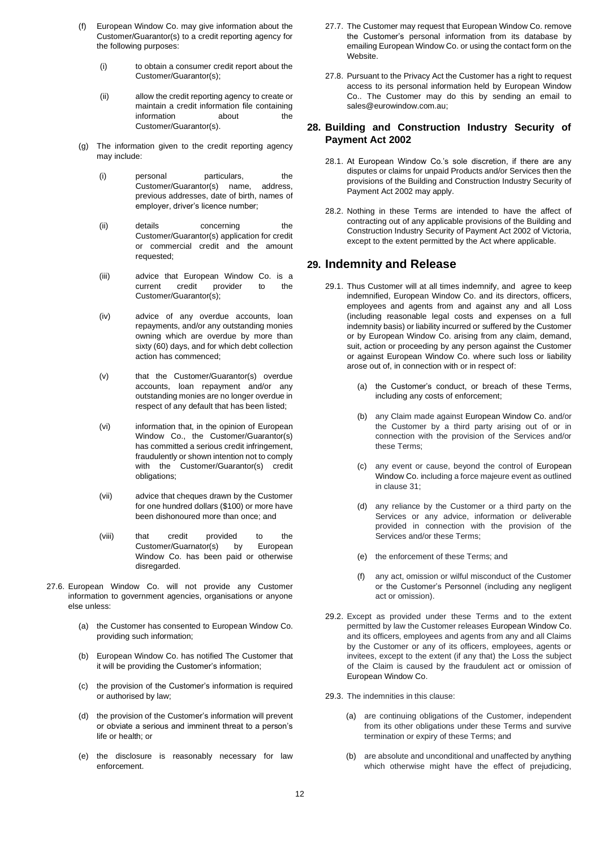- (f) European Window Co. may give information about the Customer/Guarantor(s) to a credit reporting agency for the following purposes:
	- (i) to obtain a consumer credit report about the Customer/Guarantor(s);
	- (ii) allow the credit reporting agency to create or maintain a credit information file containing information about the Customer/Guarantor(s).
- (g) The information given to the credit reporting agency may include:
	- (i) personal particulars, the Customer/Guarantor(s) name, address, previous addresses, date of birth, names of employer, driver's licence number;
	- (ii) details concerning the Customer/Guarantor(s) application for credit or commercial credit and the amount requested;
	- (iii) advice that European Window Co. is a current credit provider to the Customer/Guarantor(s);
	- (iv) advice of any overdue accounts, loan repayments, and/or any outstanding monies owning which are overdue by more than sixty (60) days, and for which debt collection action has commenced;
	- (v) that the Customer/Guarantor(s) overdue accounts, loan repayment and/or any outstanding monies are no longer overdue in respect of any default that has been listed;
	- (vi) information that, in the opinion of European Window Co., the Customer/Guarantor(s) has committed a serious credit infringement, fraudulently or shown intention not to comply with the Customer/Guarantor(s) credit obligations;
	- (vii) advice that cheques drawn by the Customer for one hundred dollars (\$100) or more have been dishonoured more than once; and
	- (viii) that credit provided to the Customer/Guarnator(s) by European Window Co. has been paid or otherwise disregarded.
- 27.6. European Window Co. will not provide any Customer information to government agencies, organisations or anyone else unless:
	- (a) the Customer has consented to European Window Co. providing such information;
	- (b) European Window Co. has notified The Customer that it will be providing the Customer's information;
	- (c) the provision of the Customer's information is required or authorised by law;
	- (d) the provision of the Customer's information will prevent or obviate a serious and imminent threat to a person's life or health; or
	- (e) the disclosure is reasonably necessary for law enforcement.
- 27.7. The Customer may request that European Window Co. remove the Customer's personal information from its database by emailing European Window Co. or using the contact form on the Website.
- 27.8. Pursuant to the Privacy Act the Customer has a right to request access to its personal information held by European Window Co.. The Customer may do this by sending an email to sales@eurowindow.com.au;

# **28. Building and Construction Industry Security of Payment Act 2002**

- 28.1. At European Window Co.'s sole discretion, if there are any disputes or claims for unpaid Products and/or Services then the provisions of the Building and Construction Industry Security of Payment Act 2002 may apply.
- 28.2. Nothing in these Terms are intended to have the affect of contracting out of any applicable provisions of the Building and Construction Industry Security of Payment Act 2002 of Victoria, except to the extent permitted by the Act where applicable.

# **29. Indemnity and Release**

- 29.1. Thus Customer will at all times indemnify, and agree to keep indemnified, European Window Co. and its directors, officers, employees and agents from and against any and all Loss (including reasonable legal costs and expenses on a full indemnity basis) or liability incurred or suffered by the Customer or by European Window Co. arising from any claim, demand, suit, action or proceeding by any person against the Customer or against European Window Co. where such loss or liability arose out of, in connection with or in respect of:
	- (a) the Customer's conduct, or breach of these Terms, including any costs of enforcement;
	- (b) any Claim made against European Window Co. and/or the Customer by a third party arising out of or in connection with the provision of the Services and/or these Terms;
	- (c) any event or cause, beyond the control of European Window Co. including a force majeure event as outlined in clause 31;
	- (d) any reliance by the Customer or a third party on the Services or any advice, information or deliverable provided in connection with the provision of the Services and/or these Terms;
	- (e) the enforcement of these Terms; and
	- (f) any act, omission or wilful misconduct of the Customer or the Customer's Personnel (including any negligent act or omission).
- 29.2. Except as provided under these Terms and to the extent permitted by law the Customer releases European Window Co. and its officers, employees and agents from any and all Claims by the Customer or any of its officers, employees, agents or invitees, except to the extent (if any that) the Loss the subject of the Claim is caused by the fraudulent act or omission of European Window Co.
- 29.3. The indemnities in this clause:
	- (a) are continuing obligations of the Customer, independent from its other obligations under these Terms and survive termination or expiry of these Terms; and
	- (b) are absolute and unconditional and unaffected by anything which otherwise might have the effect of prejudicing,